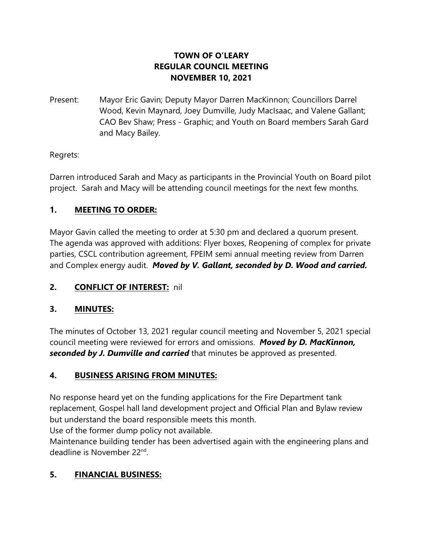## **TOWN OF O'LEARY REGULAR COUNCIL MEETING NOVEMBER 10, 2021**

Present: Mayor Eric Gavin; Deputy Mayor Darren MacKinnon; Councillors Darrel Wood, Kevin Maynard, Joey Dumville, Judy MacIsaac, and Valene Gallant; CAO Bev Shaw; Press - Graphic; and Youth on Board members Sarah Gard and Macy Bailey.

## Regrets:

Darren introduced Sarah and Macy as participants in the Provincial Youth on Board pilot project. Sarah and Macy will be attending council meetings for the next few months.

## **1. MEETING TO ORDER:**

Mayor Gavin called the meeting to order at 5:30 pm and declared a quorum present. The agenda was approved with additions: Flyer boxes, Reopening of complex for private parties, CSCL contribution agreement, FPEIM semi annual meeting review from Darren and Complex energy audit. *Moved by V. Gallant, seconded by D. Wood and carried.*

# **2. CONFLICT OF INTEREST:** nil

## **3. MINUTES:**

The minutes of October 13, 2021 regular council meeting and November 5, 2021 special council meeting were reviewed for errors and omissions. *Moved by D. MacKinnon, seconded by J. Dumville and carried* that minutes be approved as presented.

## **4. BUSINESS ARISING FROM MINUTES:**

No response heard yet on the funding applications for the Fire Department tank replacement, Gospel hall land development project and Official Plan and Bylaw review but understand the board responsible meets this month.

Use of the former dump policy not available.

Maintenance building tender has been advertised again with the engineering plans and deadline is November 22<sup>nd</sup>.

# **5. FINANCIAL BUSINESS:**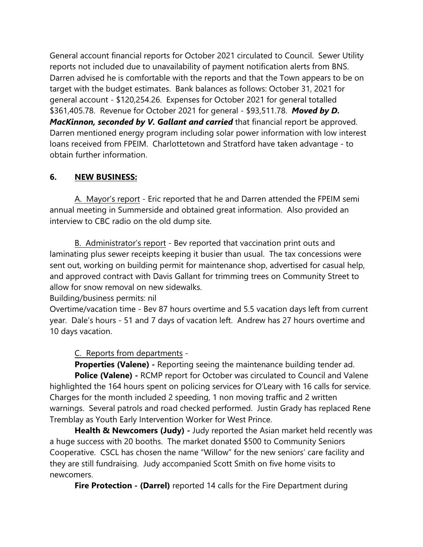General account financial reports for October 2021 circulated to Council. Sewer Utility reports not included due to unavailability of payment notification alerts from BNS. Darren advised he is comfortable with the reports and that the Town appears to be on target with the budget estimates. Bank balances as follows: October 31, 2021 for general account - \$120,254.26. Expenses for October 2021 for general totalled \$361,405.78. Revenue for October 2021 for general - \$93,511.78. *Moved by D.* **MacKinnon, seconded by V. Gallant and carried** that financial report be approved. Darren mentioned energy program including solar power information with low interest loans received from FPEIM. Charlottetown and Stratford have taken advantage - to obtain further information.

### **6. NEW BUSINESS:**

A. Mayor's report - Eric reported that he and Darren attended the FPEIM semi annual meeting in Summerside and obtained great information. Also provided an interview to CBC radio on the old dump site.

B. Administrator's report - Bev reported that vaccination print outs and laminating plus sewer receipts keeping it busier than usual. The tax concessions were sent out, working on building permit for maintenance shop, advertised for casual help, and approved contract with Davis Gallant for trimming trees on Community Street to allow for snow removal on new sidewalks.

#### Building/business permits: nil

Overtime/vacation time - Bev 87 hours overtime and 5.5 vacation days left from current year. Dale's hours - 51 and 7 days of vacation left. Andrew has 27 hours overtime and 10 days vacation.

#### C. Reports from departments -

**Properties (Valene) -** Reporting seeing the maintenance building tender ad. **Police (Valene) -** RCMP report for October was circulated to Council and Valene highlighted the 164 hours spent on policing services for O'Leary with 16 calls for service. Charges for the month included 2 speeding, 1 non moving traffic and 2 written warnings. Several patrols and road checked performed. Justin Grady has replaced Rene Tremblay as Youth Early Intervention Worker for West Prince.

**Health & Newcomers (Judy)** - Judy reported the Asian market held recently was a huge success with 20 booths. The market donated \$500 to Community Seniors Cooperative. CSCL has chosen the name "Willow" for the new seniors' care facility and they are still fundraising. Judy accompanied Scott Smith on five home visits to newcomers.

**Fire Protection - (Darrel)** reported 14 calls for the Fire Department during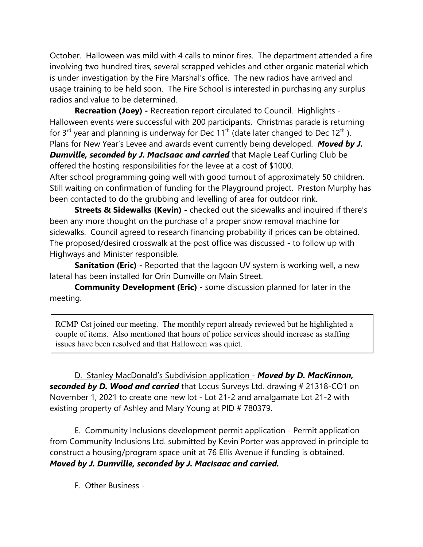October. Halloween was mild with 4 calls to minor fires. The department attended a fire involving two hundred tires, several scrapped vehicles and other organic material which is under investigation by the Fire Marshal's office. The new radios have arrived and usage training to be held soon. The Fire School is interested in purchasing any surplus radios and value to be determined.

**Recreation (Joey) -** Recreation report circulated to Council. Highlights - Halloween events were successful with 200 participants. Christmas parade is returning for  $3^{rd}$  year and planning is underway for Dec  $11^{th}$  (date later changed to Dec  $12^{th}$ ). Plans for New Year's Levee and awards event currently being developed. *Moved by J.*

*Dumville, seconded by J. MacIsaac and carried* that Maple Leaf Curling Club be offered the hosting responsibilities for the levee at a cost of \$1000.

After school programming going well with good turnout of approximately 50 children. Still waiting on confirmation of funding for the Playground project. Preston Murphy has been contacted to do the grubbing and levelling of area for outdoor rink.

**Streets & Sidewalks (Kevin)** - checked out the sidewalks and inquired if there's been any more thought on the purchase of a proper snow removal machine for sidewalks. Council agreed to research financing probability if prices can be obtained. The proposed/desired crosswalk at the post office was discussed - to follow up with Highways and Minister responsible.

**Sanitation (Eric)** - Reported that the lagoon UV system is working well, a new lateral has been installed for Orin Dumville on Main Street.

**Community Development (Eric) -** some discussion planned for later in the meeting.

RCMP Cst joined our meeting. The monthly report already reviewed but he highlighted a couple of items. Also mentioned that hours of police services should increase as staffing issues have been resolved and that Halloween was quiet.

D. Stanley MacDonald's Subdivision application - *Moved by D. MacKinnon, seconded by D. Wood and carried* that Locus Surveys Ltd. drawing # 21318-CO1 on November 1, 2021 to create one new lot - Lot 21-2 and amalgamate Lot 21-2 with existing property of Ashley and Mary Young at PID # 780379.

E. Community Inclusions development permit application - Permit application from Community Inclusions Ltd. submitted by Kevin Porter was approved in principle to construct a housing/program space unit at 76 Ellis Avenue if funding is obtained. *Moved by J. Dumville, seconded by J. MacIsaac and carried.* 

F. Other Business -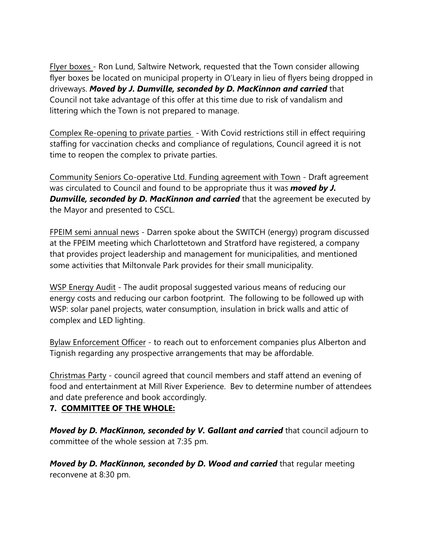Flyer boxes - Ron Lund, Saltwire Network, requested that the Town consider allowing flyer boxes be located on municipal property in O'Leary in lieu of flyers being dropped in driveways. *Moved by J. Dumville, seconded by D. MacKinnon and carried* that Council not take advantage of this offer at this time due to risk of vandalism and littering which the Town is not prepared to manage.

Complex Re-opening to private parties - With Covid restrictions still in effect requiring staffing for vaccination checks and compliance of regulations, Council agreed it is not time to reopen the complex to private parties.

Community Seniors Co-operative Ltd. Funding agreement with Town - Draft agreement was circulated to Council and found to be appropriate thus it was *moved by J.* **Dumville, seconded by D. MacKinnon and carried** that the agreement be executed by the Mayor and presented to CSCL.

FPEIM semi annual news - Darren spoke about the SWITCH (energy) program discussed at the FPEIM meeting which Charlottetown and Stratford have registered, a company that provides project leadership and management for municipalities, and mentioned some activities that Miltonvale Park provides for their small municipality.

WSP Energy Audit - The audit proposal suggested various means of reducing our energy costs and reducing our carbon footprint. The following to be followed up with WSP: solar panel projects, water consumption, insulation in brick walls and attic of complex and LED lighting.

Bylaw Enforcement Officer - to reach out to enforcement companies plus Alberton and Tignish regarding any prospective arrangements that may be affordable.

Christmas Party - council agreed that council members and staff attend an evening of food and entertainment at Mill River Experience. Bev to determine number of attendees and date preference and book accordingly.

## **7. COMMITTEE OF THE WHOLE:**

*Moved by D. MacKinnon, seconded by V. Gallant and carried* that council adjourn to committee of the whole session at 7:35 pm.

*Moved by D. MacKinnon, seconded by D. Wood and carried* that regular meeting reconvene at 8:30 pm.